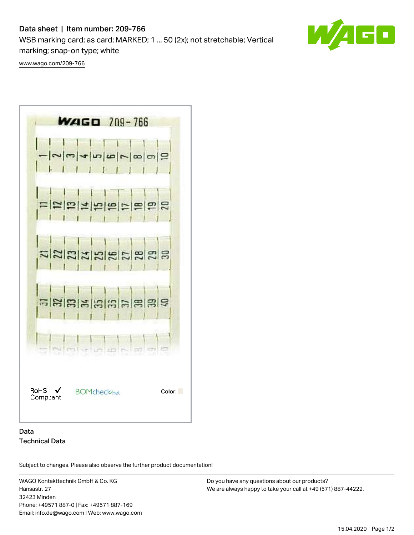# Data sheet | Item number: 209-766

WSB marking card; as card; MARKED; 1 ... 50 (2x); not stretchable; Vertical marking; snap-on type; white

O

[www.wago.com/209-766](http://www.wago.com/209-766)



# Data Technical Data

Subject to changes. Please also observe the further product documentation!

WAGO Kontakttechnik GmbH & Co. KG Hansastr. 27 32423 Minden Phone: +49571 887-0 | Fax: +49571 887-169 Email: info.de@wago.com | Web: www.wago.com

Do you have any questions about our products? We are always happy to take your call at +49 (571) 887-44222.